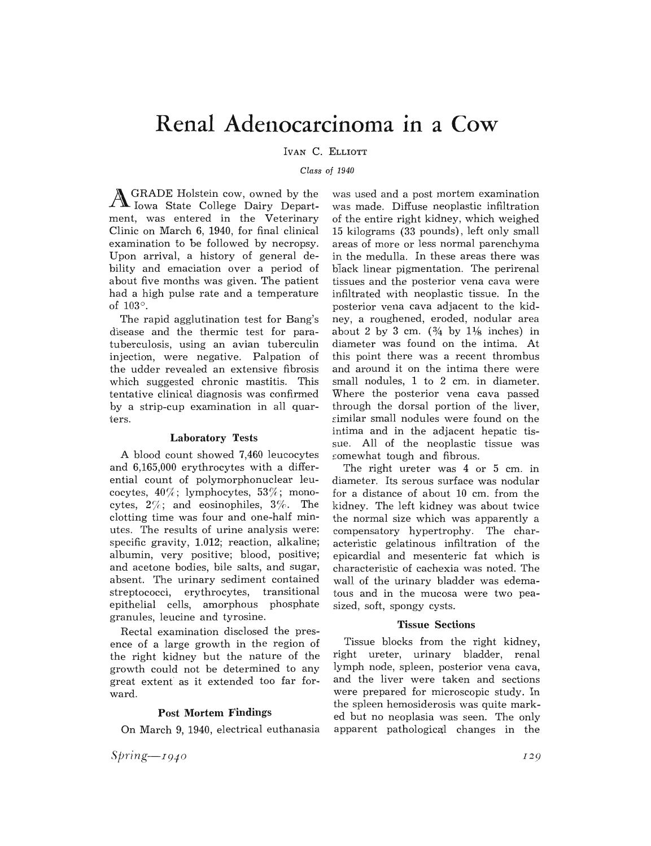## **Renal Adel1ocarcinoma in a Cow**

IVAN C. ELLIOTT

*Class of 1940* 

AGRADE Holstein cow, owned by the Iowa State College Dairy Department, was entered in the Veterinary Clinic on March 6, 1940, for final clinical examination to be followed by necropsy. Upon arrival, a history of general debility and emaciation over a period of about five months was given. The patient had a high pulse rate and a temperature of 103°.

The rapid agglutination test for Bang's disease and the thermic test for paratuberculosis, using an avian tuberculin injection, were negative. Palpation of the udder revealed an extensive fibrosis which suggested chronic mastitis. This tentative clinical diagnosis was confirmed by a strip-cup examination in all quarters.

## **Laboratory Tests**

A blood count showed 7,460 leucocytes and 6,165,000 erythrocytes with a differential count of polymorphonuclear leucocytes,  $40\%$ ; lymphocytes,  $53\%$ ; monocytes,  $2\%$ ; and eosinophiles,  $3\%$ . The clotting time was four and one-half minutes. The results of urine analysis were: specific gravity, 1.012; reaction, alkaline; albumin, very positive; blood, positive; and acetone bodies, bile salts, and sugar, absent. The urinary sediment contained streptococci, erythrocytes, transitional epithelial cells, amorphous phosphate granules, leucine and tyrosine.

Rectal examination disclosed the presence of a large growth in the region of the right kidney but the nature of the growth could not be determined to any great extent as it extended too far forward.

## **Post Mortem Findings**

On March 9, 1940, electrical euthanasia

 $Spring - 1940$ 

was used and a post mortem examination was made. Diffuse neoplastic infiltration of the entire right kidney, which weighed 15 kilograms (33 pounds), left only small areas of more or less normal parenchyma in the medulla. In these areas there was black linear pigmentation. The perirenal tissues and the posterior vena cava were infiltrated with neoplastic tissue. In the posterior vena cava adjacent to the kidney, a roughened, eroded, nodular area about 2 by 3 cm.  $(\frac{3}{4}$  by  $1\frac{1}{8}$  inches) in diameter was found on the intima. At this point there was a recent thrombus and around it on the intima there were small nodules, 1 to 2 cm. in diameter. Where the posterior vena cava passed through the dorsal portion of the liver, similar small nodules were found on the intima and in the adjacent hepatic tissue. All of the neoplastic tissue was somewhat tough and fibrous.

The right ureter was 4 or 5 cm. in diameter. Its serous surface was nodular for a distance of about 10 cm. from the kidney. The left kidney was about twice the normal size which was apparently a compensatory hypertrophy. The characteristic gelatinous infiltration of the epicardial and mesenteric fat which is characteristic of cachexia was noted. The wall. of the urinary bladder was edematous and in the mucosa were two peasized, soft, spongy cysts.

## **Tissue Sections**

Tissue blocks from the right kidney, right ureter, urinary bladder, renal lymph node, spleen, posterior vena cava, and the liver were taken and sections were prepared for microscopic study. In the spleen hemosiderosis was quite marked but no neoplasia was seen. The only apparent pathological changes in the